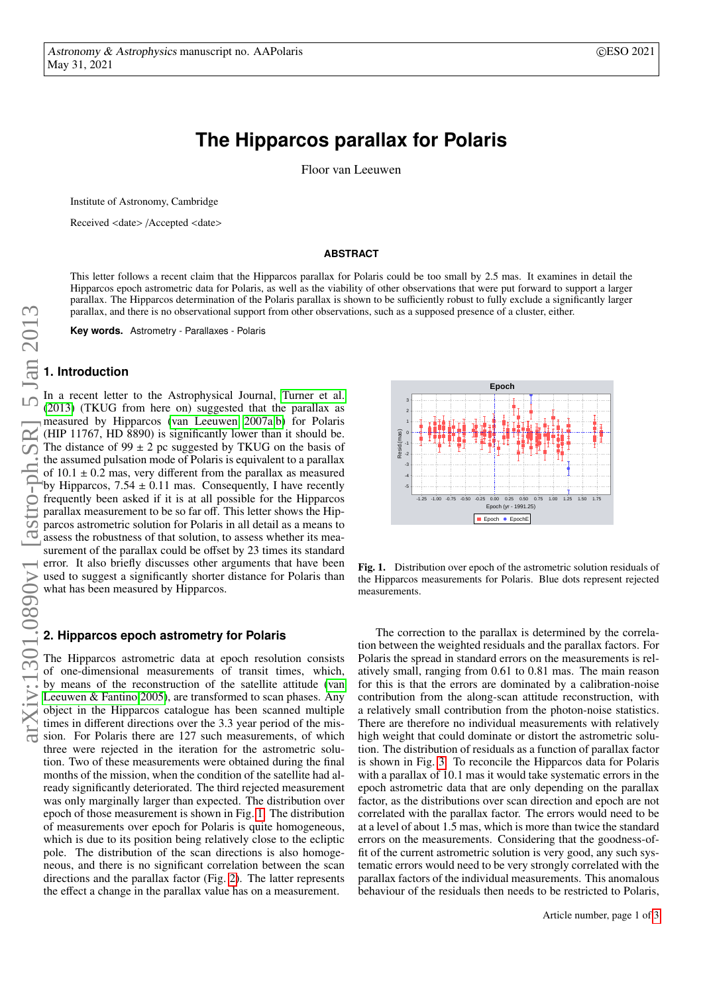# **The Hipparcos parallax for Polaris**

Floor van Leeuwen

<span id="page-0-1"></span>Institute of Astronomy, Cambridge

Received <date> /Accepted <date>

#### **ABSTRACT**

This letter follows a recent claim that the Hipparcos parallax for Polaris could be too small by 2.5 mas. It examines in detail the Hipparcos epoch astrometric data for Polaris, as well as the viability of other observations that were put forward to support a larger parallax. The Hipparcos determination of the Polaris parallax is shown to be sufficiently robust to fully exclude a significantly larger parallax, and there is no observational support from other observations, such as a supposed presence of a cluster, either.

**Key words.** Astrometry - Parallaxes - Polaris

### **1. Introduction**

In a recent letter to the Astrophysical Journal, [Turner et al.](#page-2-0) [\(2013\)](#page-2-0) (TKUG from here on) suggested that the parallax as measured by Hipparcos [\(van Leeuwen 2007a,](#page-2-1)[b\)](#page-2-2) for Polaris (HIP 11767, HD 8890) is significantly lower than it should be. The distance of  $99 \pm 2$  pc suggested by TKUG on the basis of the assumed pulsation mode of Polaris is equivalent to a parallax of  $10.1 \pm 0.2$  mas, very different from the parallax as measured<br>by Hinnarcos  $7.54 \pm 0.11$  mas. Consequently I have recently by Hipparcos,  $7.54 \pm 0.11$  mas. Consequently, I have recently frequently been asked if it is at all possible for the Hipparcos parallax measurement to be so far off. This letter shows the Hipparcos astrometric solution for Polaris in all detail as a means to assess the robustness of that solution, to assess whether its measurement of the parallax could be offset by 23 times its standard error. It also briefly discusses other arguments that have been used to suggest a significantly shorter distance for Polaris than what has been measured by Hipparcos.

#### **2. Hipparcos epoch astrometry for Polaris**

The Hipparcos astrometric data at epoch resolution consists of one-dimensional measurements of transit times, which, by means of the reconstruction of the satellite attitude [\(van](#page-2-3) [Leeuwen & Fantino 2005\)](#page-2-3), are transformed to scan phases. Any object in the Hipparcos catalogue has been scanned multiple times in different directions over the 3.3 year period of the mission. For Polaris there are 127 such measurements, of which three were rejected in the iteration for the astrometric solution. Two of these measurements were obtained during the final months of the mission, when the condition of the satellite had already significantly deteriorated. The third rejected measurement was only marginally larger than expected. The distribution over epoch of those measurement is shown in Fig. [1.](#page-0-0) The distribution of measurements over epoch for Polaris is quite homogeneous, which is due to its position being relatively close to the ecliptic pole. The distribution of the scan directions is also homogeneous, and there is no significant correlation between the scan directions and the parallax factor (Fig. [2\)](#page-1-0). The latter represents the effect a change in the parallax value has on a measurement.



<span id="page-0-0"></span>Fig. 1. Distribution over epoch of the astrometric solution residuals of the Hipparcos measurements for Polaris. Blue dots represent rejected measurements.

The correction to the parallax is determined by the correlation between the weighted residuals and the parallax factors. For Polaris the spread in standard errors on the measurements is relatively small, ranging from 0.61 to 0.81 mas. The main reason for this is that the errors are dominated by a calibration-noise contribution from the along-scan attitude reconstruction, with a relatively small contribution from the photon-noise statistics. There are therefore no individual measurements with relatively high weight that could dominate or distort the astrometric solution. The distribution of residuals as a function of parallax factor is shown in Fig. [3.](#page-1-1) To reconcile the Hipparcos data for Polaris with a parallax of 10.1 mas it would take systematic errors in the epoch astrometric data that are only depending on the parallax factor, as the distributions over scan direction and epoch are not correlated with the parallax factor. The errors would need to be at a level of about 1.5 mas, which is more than twice the standard errors on the measurements. Considering that the goodness-offit of the current astrometric solution is very good, any such systematic errors would need to be very strongly correlated with the parallax factors of the individual measurements. This anomalous behaviour of the residuals then needs to be restricted to Polaris,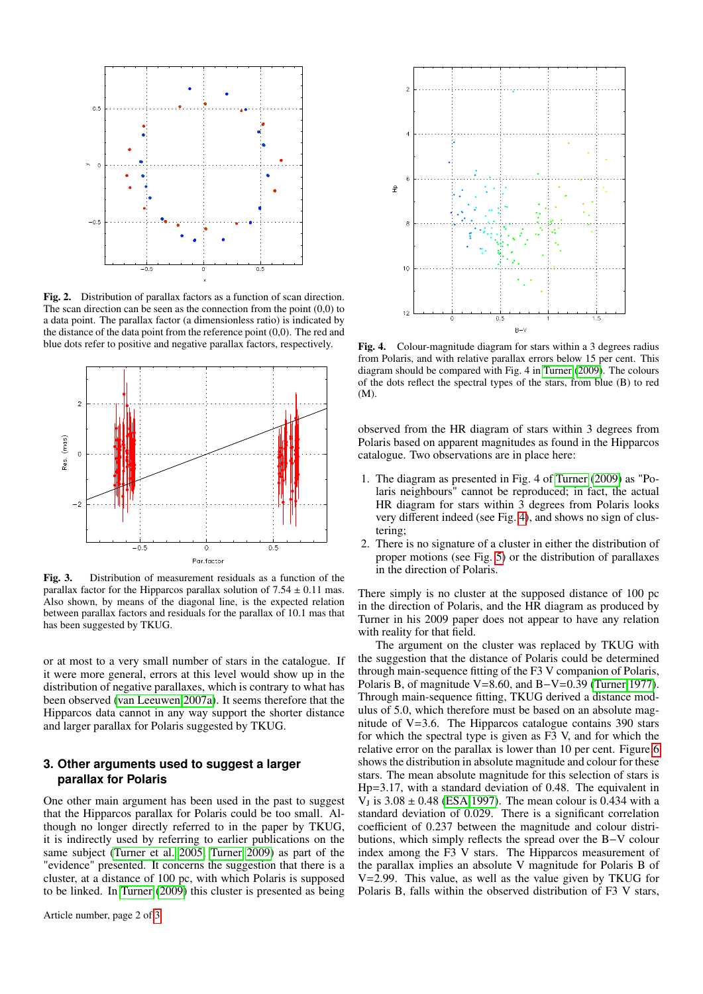

<span id="page-1-0"></span>Fig. 2. Distribution of parallax factors as a function of scan direction. The scan direction can be seen as the connection from the point  $(0,0)$  to a data point. The parallax factor (a dimensionless ratio) is indicated by the distance of the data point from the reference point (0,0). The red and blue dots refer to positive and negative parallax factors, respectively.



<span id="page-1-1"></span>Fig. 3. Distribution of measurement residuals as a function of the parallax factor for the Hipparcos parallax solution of  $7.54 \pm 0.11$  mas. Also shown, by means of the diagonal line, is the expected relation between parallax factors and residuals for the parallax of 10.1 mas that has been suggested by TKUG.

or at most to a very small number of stars in the catalogue. If it were more general, errors at this level would show up in the distribution of negative parallaxes, which is contrary to what has been observed [\(van Leeuwen 2007a\)](#page-2-1). It seems therefore that the Hipparcos data cannot in any way support the shorter distance and larger parallax for Polaris suggested by TKUG.

## **3. Other arguments used to suggest a larger parallax for Polaris**

One other main argument has been used in the past to suggest that the Hipparcos parallax for Polaris could be too small. Although no longer directly referred to in the paper by TKUG, it is indirectly used by referring to earlier publications on the same subject [\(Turner et al. 2005;](#page-2-4) [Turner 2009\)](#page-2-5) as part of the "evidence" presented. It concerns the suggestion that there is a cluster, at a distance of 100 pc, with which Polaris is supposed to be linked. In [Turner](#page-2-5) [\(2009\)](#page-2-5) this cluster is presented as being



<span id="page-1-2"></span>Fig. 4. Colour-magnitude diagram for stars within a 3 degrees radius from Polaris, and with relative parallax errors below 15 per cent. This diagram should be compared with Fig. 4 in [Turner](#page-2-5) [\(2009\)](#page-2-5). The colours of the dots reflect the spectral types of the stars, from blue (B) to red (M).

observed from the HR diagram of stars within 3 degrees from Polaris based on apparent magnitudes as found in the Hipparcos catalogue. Two observations are in place here:

- 1. The diagram as presented in Fig. 4 of [Turner](#page-2-5) [\(2009\)](#page-2-5) as "Polaris neighbours" cannot be reproduced; in fact, the actual HR diagram for stars within 3 degrees from Polaris looks very different indeed (see Fig. [4\)](#page-1-2), and shows no sign of clustering;
- 2. There is no signature of a cluster in either the distribution of proper motions (see Fig. [5\)](#page-2-6) or the distribution of parallaxes in the direction of Polaris.

There simply is no cluster at the supposed distance of 100 pc in the direction of Polaris, and the HR diagram as produced by Turner in his 2009 paper does not appear to have any relation with reality for that field.

The argument on the cluster was replaced by TKUG with the suggestion that the distance of Polaris could be determined through main-sequence fitting of the F3 V companion of Polaris, Polaris B, of magnitude V=8.60, and B−V=0.39 [\(Turner 1977\)](#page-2-7). Through main-sequence fitting, TKUG derived a distance modulus of 5.0, which therefore must be based on an absolute magnitude of V=3.6. The Hipparcos catalogue contains 390 stars for which the spectral type is given as F3 V, and for which the relative error on the parallax is lower than 10 per cent. Figure [6](#page-2-8) shows the distribution in absolute magnitude and colour for these stars. The mean absolute magnitude for this selection of stars is Hp=3.17, with a standard deviation of 0.48. The equivalent in  $V_J$  is  $3.08 \pm 0.48$  [\(ESA 1997\)](#page-2-9). The mean colour is 0.434 with a standard deviation of 0.029. There is a significant correlation standard deviation of 0.029. There is a significant correlation coefficient of 0.237 between the magnitude and colour distributions, which simply reflects the spread over the B−V colour index among the F3 V stars. The Hipparcos measurement of the parallax implies an absolute V magnitude for Polaris B of V=2.99. This value, as well as the value given by TKUG for Polaris B, falls within the observed distribution of F3 V stars,